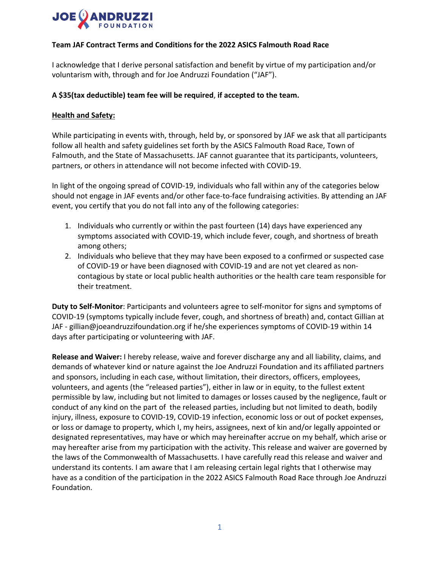

### **Team JAF Contract Terms and Conditions for the 2022 ASICS Falmouth Road Race**

I acknowledge that I derive personal satisfaction and benefit by virtue of my participation and/or voluntarism with, through and for Joe Andruzzi Foundation ("JAF").

### **A \$35(tax deductible) team fee will be required**, **if accepted to the team.**

#### **Health and Safety:**

While participating in events with, through, held by, or sponsored by JAF we ask that all participants follow all health and safety guidelines set forth by the ASICS Falmouth Road Race, Town of Falmouth, and the State of Massachusetts. JAF cannot guarantee that its participants, volunteers, partners, or others in attendance will not become infected with COVID-19.

In light of the ongoing spread of COVID-19, individuals who fall within any of the categories below should not engage in JAF events and/or other face-to-face fundraising activities. By attending an JAF event, you certify that you do not fall into any of the following categories:

- 1. Individuals who currently or within the past fourteen (14) days have experienced any symptoms associated with COVID-19, which include fever, cough, and shortness of breath among others;
- 2. Individuals who believe that they may have been exposed to a confirmed or suspected case of COVID-19 or have been diagnosed with COVID-19 and are not yet cleared as noncontagious by state or local public health authorities or the health care team responsible for their treatment.

**Duty to Self-Monitor**: Participants and volunteers agree to self-monitor for signs and symptoms of COVID-19 (symptoms typically include fever, cough, and shortness of breath) and, contact Gillian at JAF - gillian@joeandruzzifoundation.org if he/she experiences symptoms of COVID-19 within 14 days after participating or volunteering with JAF.

**Release and Waiver:** I hereby release, waive and forever discharge any and all liability, claims, and demands of whatever kind or nature against the Joe Andruzzi Foundation and its affiliated partners and sponsors, including in each case, without limitation, their directors, officers, employees, volunteers, and agents (the "released parties"), either in law or in equity, to the fullest extent permissible by law, including but not limited to damages or losses caused by the negligence, fault or conduct of any kind on the part of the released parties, including but not limited to death, bodily injury, illness, exposure to COVID-19, COVID-19 infection, economic loss or out of pocket expenses, or loss or damage to property, which I, my heirs, assignees, next of kin and/or legally appointed or designated representatives, may have or which may hereinafter accrue on my behalf, which arise or may hereafter arise from my participation with the activity. This release and waiver are governed by the laws of the Commonwealth of Massachusetts. I have carefully read this release and waiver and understand its contents. I am aware that I am releasing certain legal rights that I otherwise may have as a condition of the participation in the 2022 ASICS Falmouth Road Race through Joe Andruzzi Foundation.